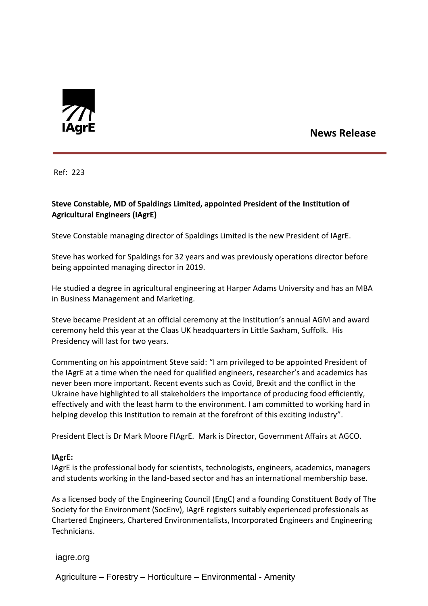

## **News Release**

Ref: 223

## **Steve Constable, MD of Spaldings Limited, appointed President of the Institution of Agricultural Engineers (IAgrE)**

Steve Constable managing director of Spaldings Limited is the new President of IAgrE.

Steve has worked for Spaldings for 32 years and was previously operations director before being appointed managing director in 2019.

He studied a degree in agricultural engineering at Harper Adams University and has an MBA in Business Management and Marketing.

Steve became President at an official ceremony at the Institution's annual AGM and award ceremony held this year at the Claas UK headquarters in Little Saxham, Suffolk. His Presidency will last for two years.

Commenting on his appointment Steve said: "I am privileged to be appointed President of the IAgrE at a time when the need for qualified engineers, researcher's and academics has never been more important. Recent events such as Covid, Brexit and the conflict in the Ukraine have highlighted to all stakeholders the importance of producing food efficiently, effectively and with the least harm to the environment. I am committed to working hard in helping develop this Institution to remain at the forefront of this exciting industry".

President Elect is Dr Mark Moore FIAgrE. Mark is Director, Government Affairs at AGCO.

## **IAgrE:**

IAgrE is the professional body for scientists, technologists, engineers, academics, managers and students working in the land-based sector and has an international membership base.

As a licensed body of the Engineering Council (EngC) and a founding Constituent Body of The Society for the Environment (SocEnv), IAgrE registers suitably experienced professionals as Chartered Engineers, Chartered Environmentalists, Incorporated Engineers and Engineering Technicians.

iagre.org